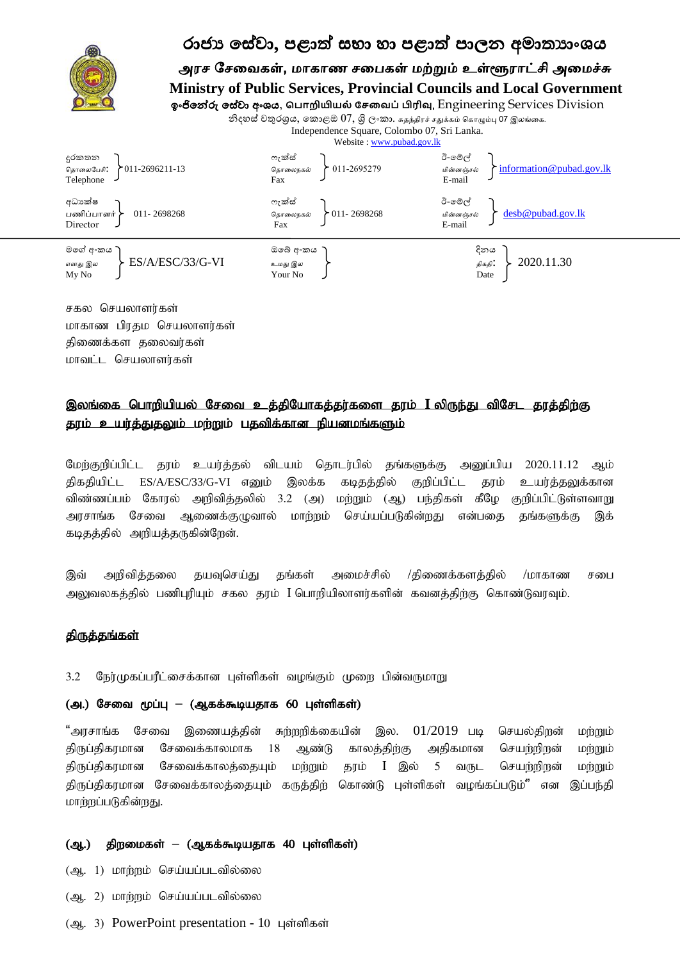

சகல செயலாளர்கள் மாகாண பிரதம செயலாளர்கள் திணைக்கள தலைவர்கள் மாவட்ட செயலாளர்கள்

# இலங்கை பொறியியல் சேவை உத்தியோகத்தர்களை தரம் **I** லிருந்து விசேட தரத்திற்கு தரம் உயர்த்துதலும் மற்றும் பதவிக்கான நியனமங்களும்

மேற்குறிப்பிட்ட தரம் உயர்த்தல் விடயம் தொடர்பில் தங்களுக்கு அனுப்பிய 2020.11.12 ஆம் திகதியிட்ட ES/A/ESC/33/G-VI எனும் இலக்க கடிதத்தில் குறிப்பிட்ட தரம் உயர்த்தலுக்கான விண்ணப்பம் கோரல் அறிவித்தலில் 3.2 (அ) மற்றும் (ஆ) பந்திகள் கீழே குறிப்பிட்டுள்ளவாறு அரசாங்க சேவை ஆணைக்குழுவால் மாற்றம் செய்யப்படுகின்றது என்பதை தங்களுக்கு இக் கடிதத்தில் அறியத்தருகின்றேன்.

இவ் அறிவித்தலை தயவுசெய்து தங்கள் அமைச்சில் /திணைக்களத்தில் /மாகாண சபை அலுவலகத்தில் பணிபுரியும் சகல தரம் I பொறியிலாளர்களின் கவனத்திற்கு கொண்டுவரவும்.

### திருத்தங்கள்

3.2 நேர்முகப்பரீட்சைக்கான புள்ளிகள் வழங்கும் முறை பின்வருமாறு

#### (அ.) சேவை மூப்பு – (ஆகக்கூடியதாக 60 புள்ளிகள்)

"அரசாங்க சேவை இணையத்தின் சுற்றறிக்கையின் இல.  $01/2019$  படி செயல்திறன் மற்றும் திருப்திகரமான சேவைக்காலமாக 18 ஆண்டு காலத்திற்கு அதிகமான செயற்றிறன் மற்றும் திருப்திகரமான சேவைக்காலத்தையும் மற்றும் தரம் I இல் 5 வருட செயற்றிறன் மற்றும் திருப்திகரமான சேவைக்காலத்தையும் கருத்திற் கொண்டு புள்ளிகள் வழங்கப்படும்" என இப்பந்தி மாற்றப்படுகின்றது.

#### (ஆ.) திறமைகள் – (ஆகக்கூடியதாக 40 புள்ளிகள்)

(ஆ. 1) மாற்றம் செய்யப்படவில்லை

- (ஆ. 2) மாற்றம் செய்யப்படவில்லை
- (ஆ. 3) PowerPoint presentation 10 புள்ளிகள்